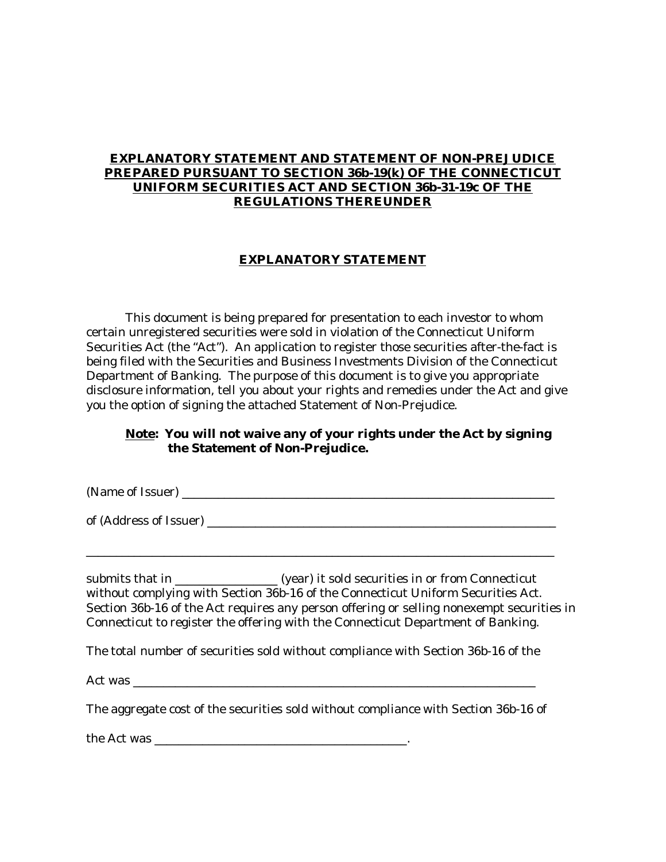### **EXPLANATORY STATEMENT AND STATEMENT OF NON-PREJUDICE PREPARED PURSUANT TO SECTION 36b-19(k) OF THE CONNECTICUT UNIFORM SECURITIES ACT AND SECTION 36b-31-19c OF THE REGULATIONS THEREUNDER**

#### **EXPLANATORY STATEMENT**

This document is being prepared for presentation to each investor to whom certain unregistered securities were sold in violation of the Connecticut Uniform Securities Act (the "Act"). An application to register those securities after-the-fact is being filed with the Securities and Business Investments Division of the Connecticut Department of Banking. The purpose of this document is to give you appropriate disclosure information, tell you about your rights and remedies under the Act and give you the option of signing the attached Statement of Non-Prejudice.

#### **Note: You will not waive any of your rights under the Act by signing the Statement of Non-Prejudice.**

(Name of Issuer)  $\blacksquare$ 

\_\_\_\_\_\_\_\_\_\_\_\_\_\_\_\_\_\_\_\_\_\_\_\_\_\_\_\_\_\_\_\_\_\_\_\_\_\_\_\_\_\_\_\_\_\_\_\_\_\_\_\_\_\_\_\_\_\_\_\_\_\_\_\_\_\_\_\_\_\_\_\_\_\_\_\_\_\_

of (Address of Issuer) \_\_\_\_\_\_\_\_\_\_\_\_\_\_\_\_\_\_\_\_\_\_\_\_\_\_\_\_\_\_\_\_\_\_\_\_\_\_\_\_\_\_\_\_\_\_\_\_\_\_\_\_\_\_\_\_\_\_

submits that in \_\_\_\_\_\_\_\_\_\_\_\_\_\_\_\_\_\_ (year) it sold securities in or from Connecticut without complying with Section 36b-16 of the Connecticut Uniform Securities Act. Section 36b-16 of the Act requires any person offering or selling nonexempt securities in Connecticut to register the offering with the Connecticut Department of Banking.

The total number of securities sold without compliance with Section 36b-16 of the

Act was \_\_\_\_\_\_\_\_\_\_\_\_\_\_\_\_\_\_\_\_\_\_\_\_\_\_\_\_\_\_\_\_\_\_\_\_\_\_\_\_\_\_\_\_\_\_\_\_\_\_\_\_\_\_\_\_\_\_\_\_\_\_\_\_\_\_\_

The aggregate cost of the securities sold without compliance with Section 36b-16 of

the Act was the state of  $\sim$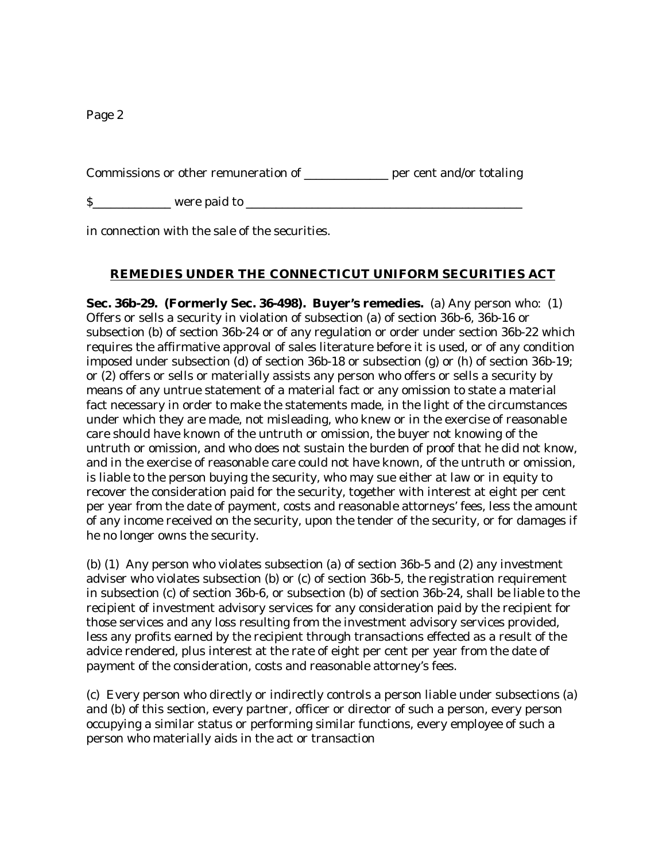Commissions or other remuneration of \_\_\_\_\_\_\_\_\_\_\_\_\_\_ per cent and/or totaling

\$\_\_\_\_\_\_\_\_\_\_\_\_\_ were paid to \_\_\_\_\_\_\_\_\_\_\_\_\_\_\_\_\_\_\_\_\_\_\_\_\_\_\_\_\_\_\_\_\_\_\_\_\_\_\_\_\_\_\_\_\_\_

in connection with the sale of the securities.

## **REMEDIES UNDER THE CONNECTICUT UNIFORM SECURITIES ACT**

**Sec. 36b-29. (Formerly Sec. 36-498). Buyer's remedies.** (a) Any person who: (1) Offers or sells a security in violation of subsection (a) of section 36b-6, 36b-16 or subsection (b) of section 36b-24 or of any regulation or order under section 36b-22 which requires the affirmative approval of sales literature before it is used, or of any condition imposed under subsection (d) of section 36b-18 or subsection (g) or (h) of section 36b-19; or (2) offers or sells or materially assists any person who offers or sells a security by means of any untrue statement of a material fact or any omission to state a material fact necessary in order to make the statements made, in the light of the circumstances under which they are made, not misleading, who knew or in the exercise of reasonable care should have known of the untruth or omission, the buyer not knowing of the untruth or omission, and who does not sustain the burden of proof that he did not know, and in the exercise of reasonable care could not have known, of the untruth or omission, is liable to the person buying the security, who may sue either at law or in equity to recover the consideration paid for the security, together with interest at eight per cent per year from the date of payment, costs and reasonable attorneys' fees, less the amount of any income received on the security, upon the tender of the security, or for damages if he no longer owns the security.

(b) (1) Any person who violates subsection (a) of section 36b-5 and (2) any investment adviser who violates subsection (b) or (c) of section 36b-5, the registration requirement in subsection (c) of section 36b-6, or subsection (b) of section 36b-24, shall be liable to the recipient of investment advisory services for any consideration paid by the recipient for those services and any loss resulting from the investment advisory services provided, less any profits earned by the recipient through transactions effected as a result of the advice rendered, plus interest at the rate of eight per cent per year from the date of payment of the consideration, costs and reasonable attorney's fees.

(c) Every person who directly or indirectly controls a person liable under subsections (a) and (b) of this section, every partner, officer or director of such a person, every person occupying a similar status or performing similar functions, every employee of such a person who materially aids in the act or transaction

Page 2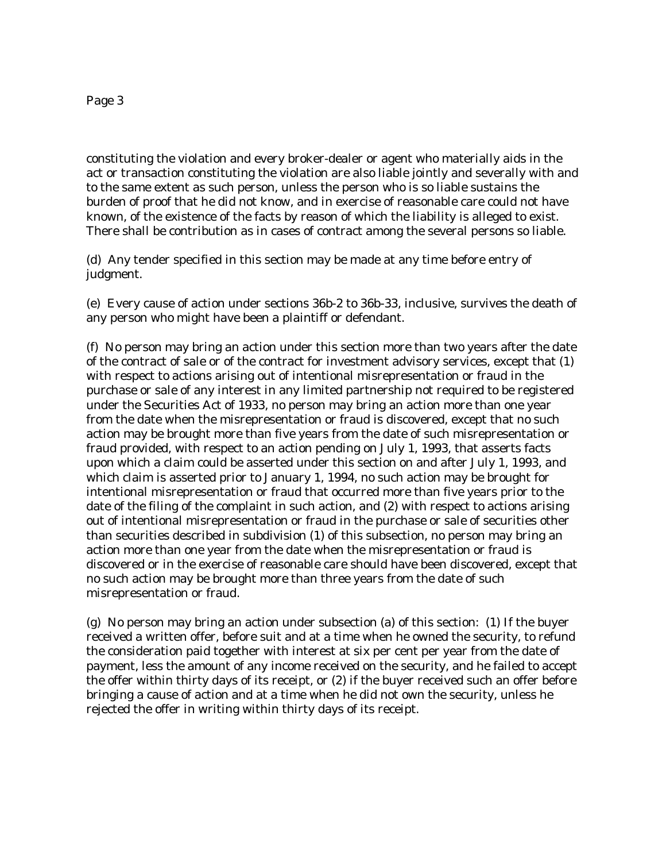#### Page 3

constituting the violation and every broker-dealer or agent who materially aids in the act or transaction constituting the violation are also liable jointly and severally with and to the same extent as such person, unless the person who is so liable sustains the burden of proof that he did not know, and in exercise of reasonable care could not have known, of the existence of the facts by reason of which the liability is alleged to exist. There shall be contribution as in cases of contract among the several persons so liable.

(d) Any tender specified in this section may be made at any time before entry of judgment.

(e) Every cause of action under sections 36b-2 to 36b-33, inclusive, survives the death of any person who might have been a plaintiff or defendant.

(f) No person may bring an action under this section more than two years after the date of the contract of sale or of the contract for investment advisory services, except that (1) with respect to actions arising out of intentional misrepresentation or fraud in the purchase or sale of any interest in any limited partnership not required to be registered under the Securities Act of 1933, no person may bring an action more than one year from the date when the misrepresentation or fraud is discovered, except that no such action may be brought more than five years from the date of such misrepresentation or fraud provided, with respect to an action pending on July 1, 1993, that asserts facts upon which a claim could be asserted under this section on and after July 1, 1993, and which claim is asserted prior to January 1, 1994, no such action may be brought for intentional misrepresentation or fraud that occurred more than five years prior to the date of the filing of the complaint in such action, and (2) with respect to actions arising out of intentional misrepresentation or fraud in the purchase or sale of securities other than securities described in subdivision (1) of this subsection, no person may bring an action more than one year from the date when the misrepresentation or fraud is discovered or in the exercise of reasonable care should have been discovered, except that no such action may be brought more than three years from the date of such misrepresentation or fraud.

(g) No person may bring an action under subsection (a) of this section: (1) If the buyer received a written offer, before suit and at a time when he owned the security, to refund the consideration paid together with interest at six per cent per year from the date of payment, less the amount of any income received on the security, and he failed to accept the offer within thirty days of its receipt, or (2) if the buyer received such an offer before bringing a cause of action and at a time when he did not own the security, unless he rejected the offer in writing within thirty days of its receipt.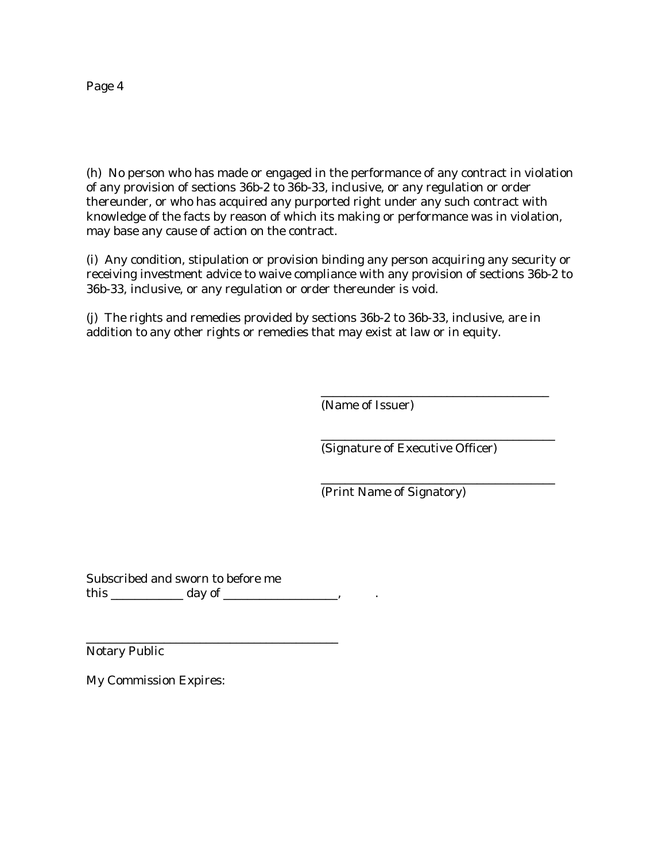Page 4

(h) No person who has made or engaged in the performance of any contract in violation of any provision of sections 36b-2 to 36b-33, inclusive, or any regulation or order thereunder, or who has acquired any purported right under any such contract with knowledge of the facts by reason of which its making or performance was in violation, may base any cause of action on the contract.

(i) Any condition, stipulation or provision binding any person acquiring any security or receiving investment advice to waive compliance with any provision of sections 36b-2 to 36b-33, inclusive, or any regulation or order thereunder is void.

(j) The rights and remedies provided by sections 36b-2 to 36b-33, inclusive, are in addition to any other rights or remedies that may exist at law or in equity.

(Name of Issuer)

(Signature of Executive Officer)

\_\_\_\_\_\_\_\_\_\_\_\_\_\_\_\_\_\_\_\_\_\_\_\_\_\_\_\_\_\_\_\_\_\_\_\_\_\_

\_\_\_\_\_\_\_\_\_\_\_\_\_\_\_\_\_\_\_\_\_\_\_\_\_\_\_\_\_\_\_\_\_\_\_\_\_\_\_

\_\_\_\_\_\_\_\_\_\_\_\_\_\_\_\_\_\_\_\_\_\_\_\_\_\_\_\_\_\_\_\_\_\_\_\_\_\_\_

(Print Name of Signatory)

Subscribed and sworn to before me this \_\_\_\_\_\_\_\_\_\_\_\_\_\_\_ day of \_\_\_\_\_\_\_\_\_\_\_\_\_\_\_\_\_\_\_,

\_\_\_\_\_\_\_\_\_\_\_\_\_\_\_\_\_\_\_\_\_\_\_\_\_\_\_\_\_\_\_\_\_\_\_\_\_\_\_\_\_\_

Notary Public

My Commission Expires: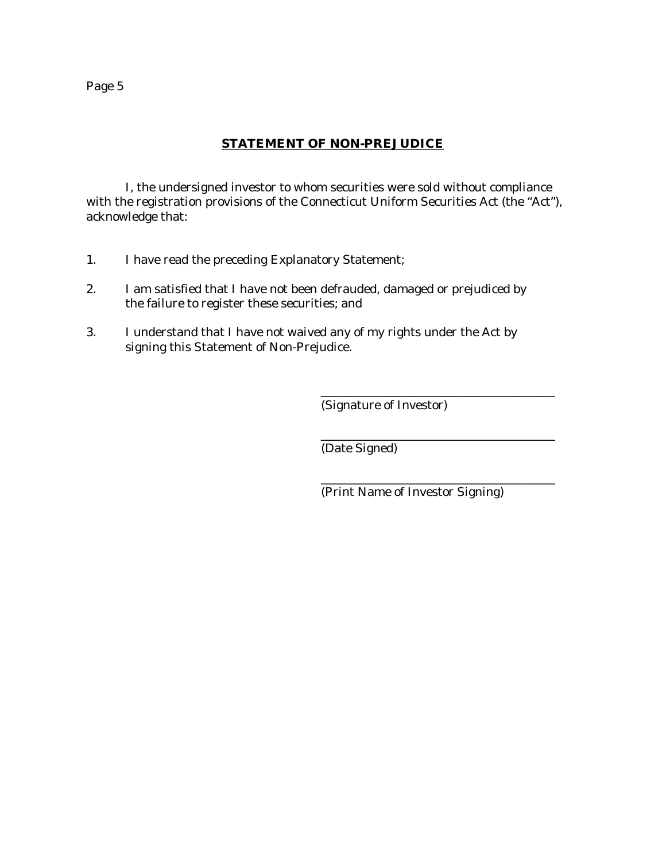Page 5

## **STATEMENT OF NON-PREJUDICE**

I, the undersigned investor to whom securities were sold without compliance with the registration provisions of the Connecticut Uniform Securities Act (the "Act"), acknowledge that:

- 1. I have read the preceding Explanatory Statement;
- 2. I am satisfied that I have not been defrauded, damaged or prejudiced by the failure to register these securities; and
- 3. I understand that I have not waived any of my rights under the Act by signing this Statement of Non-Prejudice.

(Signature of Investor)

(Date Signed)

(Print Name of Investor Signing)

\_\_\_\_\_\_\_\_\_\_\_\_\_\_\_\_\_\_\_\_\_\_\_\_\_\_\_\_\_\_\_\_\_\_\_\_\_\_\_

\_\_\_\_\_\_\_\_\_\_\_\_\_\_\_\_\_\_\_\_\_\_\_\_\_\_\_\_\_\_\_\_\_\_\_\_\_\_\_

\_\_\_\_\_\_\_\_\_\_\_\_\_\_\_\_\_\_\_\_\_\_\_\_\_\_\_\_\_\_\_\_\_\_\_\_\_\_\_